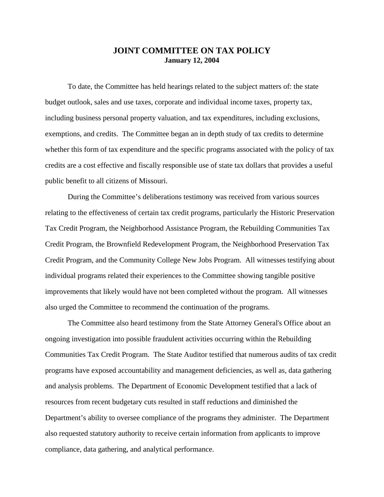## **JOINT COMMITTEE ON TAX POLICY January 12, 2004**

To date, the Committee has held hearings related to the subject matters of: the state budget outlook, sales and use taxes, corporate and individual income taxes, property tax, including business personal property valuation, and tax expenditures, including exclusions, exemptions, and credits. The Committee began an in depth study of tax credits to determine whether this form of tax expenditure and the specific programs associated with the policy of tax credits are a cost effective and fiscally responsible use of state tax dollars that provides a useful public benefit to all citizens of Missouri.

During the Committee's deliberations testimony was received from various sources relating to the effectiveness of certain tax credit programs, particularly the Historic Preservation Tax Credit Program, the Neighborhood Assistance Program, the Rebuilding Communities Tax Credit Program, the Brownfield Redevelopment Program, the Neighborhood Preservation Tax Credit Program, and the Community College New Jobs Program. All witnesses testifying about individual programs related their experiences to the Committee showing tangible positive improvements that likely would have not been completed without the program. All witnesses also urged the Committee to recommend the continuation of the programs.

The Committee also heard testimony from the State Attorney General's Office about an ongoing investigation into possible fraudulent activities occurring within the Rebuilding Communities Tax Credit Program. The State Auditor testified that numerous audits of tax credit programs have exposed accountability and management deficiencies, as well as, data gathering and analysis problems. The Department of Economic Development testified that a lack of resources from recent budgetary cuts resulted in staff reductions and diminished the Department's ability to oversee compliance of the programs they administer. The Department also requested statutory authority to receive certain information from applicants to improve compliance, data gathering, and analytical performance.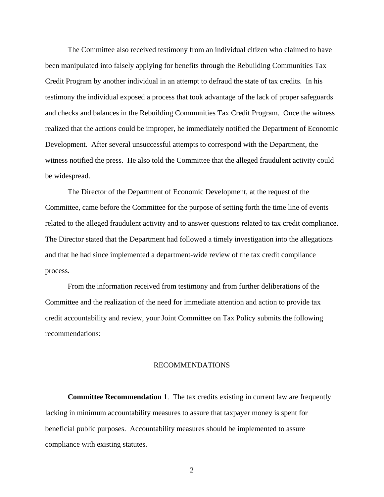The Committee also received testimony from an individual citizen who claimed to have been manipulated into falsely applying for benefits through the Rebuilding Communities Tax Credit Program by another individual in an attempt to defraud the state of tax credits. In his testimony the individual exposed a process that took advantage of the lack of proper safeguards and checks and balances in the Rebuilding Communities Tax Credit Program. Once the witness realized that the actions could be improper, he immediately notified the Department of Economic Development. After several unsuccessful attempts to correspond with the Department, the witness notified the press. He also told the Committee that the alleged fraudulent activity could be widespread.

The Director of the Department of Economic Development, at the request of the Committee, came before the Committee for the purpose of setting forth the time line of events related to the alleged fraudulent activity and to answer questions related to tax credit compliance. The Director stated that the Department had followed a timely investigation into the allegations and that he had since implemented a department-wide review of the tax credit compliance process.

From the information received from testimony and from further deliberations of the Committee and the realization of the need for immediate attention and action to provide tax credit accountability and review, your Joint Committee on Tax Policy submits the following recommendations:

## RECOMMENDATIONS

**Committee Recommendation 1**. The tax credits existing in current law are frequently lacking in minimum accountability measures to assure that taxpayer money is spent for beneficial public purposes. Accountability measures should be implemented to assure compliance with existing statutes.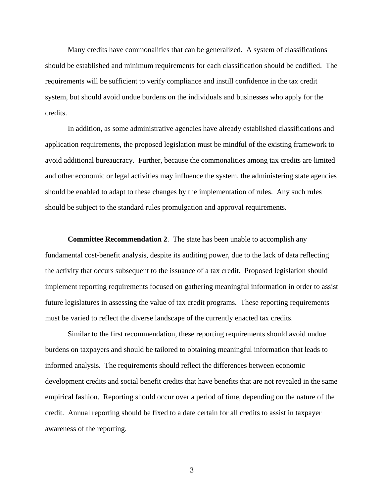Many credits have commonalities that can be generalized. A system of classifications should be established and minimum requirements for each classification should be codified. The requirements will be sufficient to verify compliance and instill confidence in the tax credit system, but should avoid undue burdens on the individuals and businesses who apply for the credits.

In addition, as some administrative agencies have already established classifications and application requirements, the proposed legislation must be mindful of the existing framework to avoid additional bureaucracy. Further, because the commonalities among tax credits are limited and other economic or legal activities may influence the system, the administering state agencies should be enabled to adapt to these changes by the implementation of rules. Any such rules should be subject to the standard rules promulgation and approval requirements.

**Committee Recommendation 2**. The state has been unable to accomplish any fundamental cost-benefit analysis, despite its auditing power, due to the lack of data reflecting the activity that occurs subsequent to the issuance of a tax credit. Proposed legislation should implement reporting requirements focused on gathering meaningful information in order to assist future legislatures in assessing the value of tax credit programs. These reporting requirements must be varied to reflect the diverse landscape of the currently enacted tax credits.

Similar to the first recommendation, these reporting requirements should avoid undue burdens on taxpayers and should be tailored to obtaining meaningful information that leads to informed analysis. The requirements should reflect the differences between economic development credits and social benefit credits that have benefits that are not revealed in the same empirical fashion. Reporting should occur over a period of time, depending on the nature of the credit. Annual reporting should be fixed to a date certain for all credits to assist in taxpayer awareness of the reporting.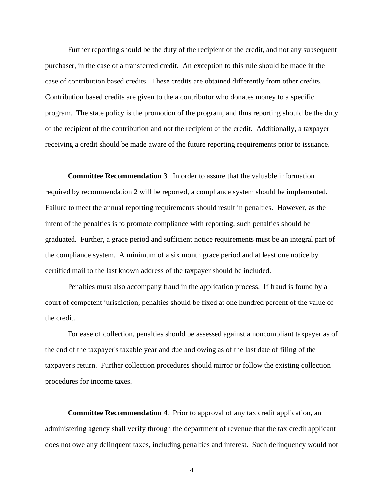Further reporting should be the duty of the recipient of the credit, and not any subsequent purchaser, in the case of a transferred credit. An exception to this rule should be made in the case of contribution based credits. These credits are obtained differently from other credits. Contribution based credits are given to the a contributor who donates money to a specific program. The state policy is the promotion of the program, and thus reporting should be the duty of the recipient of the contribution and not the recipient of the credit. Additionally, a taxpayer receiving a credit should be made aware of the future reporting requirements prior to issuance.

**Committee Recommendation 3**. In order to assure that the valuable information required by recommendation 2 will be reported, a compliance system should be implemented. Failure to meet the annual reporting requirements should result in penalties. However, as the intent of the penalties is to promote compliance with reporting, such penalties should be graduated. Further, a grace period and sufficient notice requirements must be an integral part of the compliance system. A minimum of a six month grace period and at least one notice by certified mail to the last known address of the taxpayer should be included.

Penalties must also accompany fraud in the application process. If fraud is found by a court of competent jurisdiction, penalties should be fixed at one hundred percent of the value of the credit.

For ease of collection, penalties should be assessed against a noncompliant taxpayer as of the end of the taxpayer's taxable year and due and owing as of the last date of filing of the taxpayer's return. Further collection procedures should mirror or follow the existing collection procedures for income taxes.

**Committee Recommendation 4**. Prior to approval of any tax credit application, an administering agency shall verify through the department of revenue that the tax credit applicant does not owe any delinquent taxes, including penalties and interest. Such delinquency would not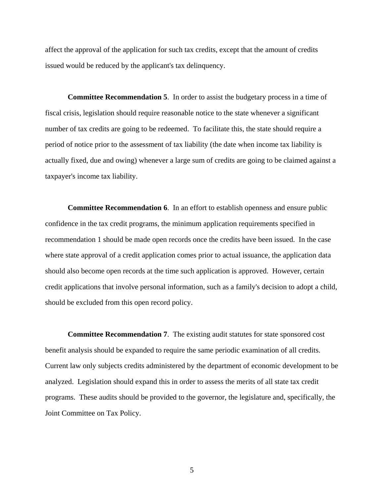affect the approval of the application for such tax credits, except that the amount of credits issued would be reduced by the applicant's tax delinquency.

**Committee Recommendation 5**. In order to assist the budgetary process in a time of fiscal crisis, legislation should require reasonable notice to the state whenever a significant number of tax credits are going to be redeemed. To facilitate this, the state should require a period of notice prior to the assessment of tax liability (the date when income tax liability is actually fixed, due and owing) whenever a large sum of credits are going to be claimed against a taxpayer's income tax liability.

**Committee Recommendation 6**. In an effort to establish openness and ensure public confidence in the tax credit programs, the minimum application requirements specified in recommendation 1 should be made open records once the credits have been issued. In the case where state approval of a credit application comes prior to actual issuance, the application data should also become open records at the time such application is approved. However, certain credit applications that involve personal information, such as a family's decision to adopt a child, should be excluded from this open record policy.

**Committee Recommendation 7**. The existing audit statutes for state sponsored cost benefit analysis should be expanded to require the same periodic examination of all credits. Current law only subjects credits administered by the department of economic development to be analyzed. Legislation should expand this in order to assess the merits of all state tax credit programs. These audits should be provided to the governor, the legislature and, specifically, the Joint Committee on Tax Policy.